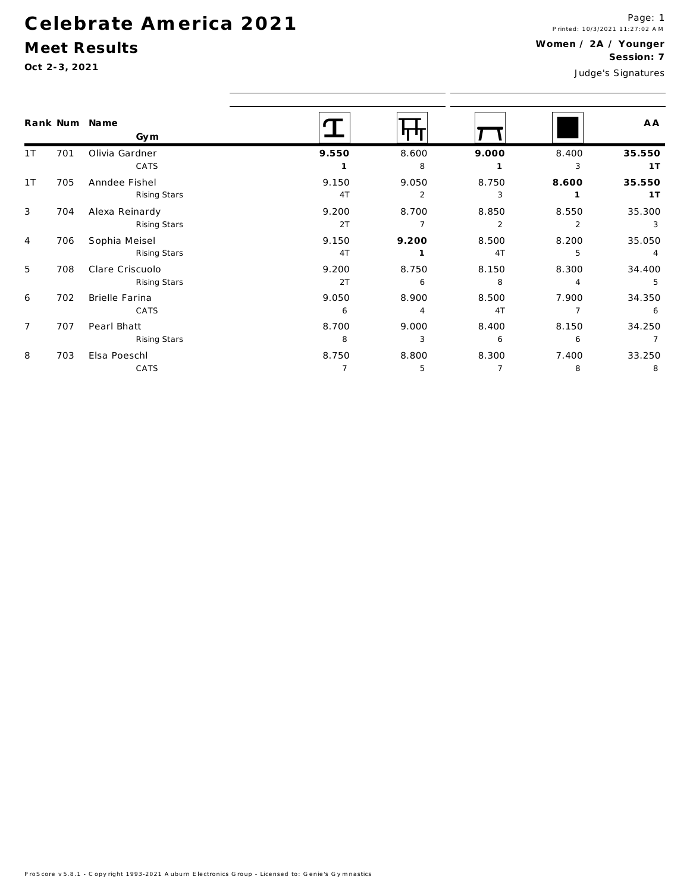### Celebrate America 2021

#### Meet Results

 $Oct$ 

| Oct 2-3, 2021        |     |                                 |                         |                         | Judge's Signatures      |                         |                          |  |
|----------------------|-----|---------------------------------|-------------------------|-------------------------|-------------------------|-------------------------|--------------------------|--|
| Rank Num Name<br>Gym |     |                                 |                         |                         |                         |                         | A A                      |  |
| 1 <sup>T</sup>       | 701 | Olivia Gardner<br>CATS          | 9.550                   | 8.600<br>8              | 9.000                   | 8.400<br>3              | 35.550<br>1T             |  |
| 1T                   | 705 | Anndee Fishel<br>Rising Stars   | 9.150<br>4T             | 9.050<br>2              | 8.750<br>3              | 8.600                   | 35.550<br>1T             |  |
| 3                    | 704 | Alexa Reinardy<br>Rising Stars  | 9.200<br>2T             | 8.700<br>$\overline{7}$ | 8.850<br>$\overline{2}$ | 8.550<br>$\overline{2}$ | 35.300<br>3              |  |
| $\overline{4}$       | 706 | Sophia Meisel<br>Rising Stars   | 9.150<br>4T             | 9.200<br>$\mathbf{1}$   | 8.500<br>4T             | 8.200<br>5              | 35.050<br>4              |  |
| 5                    | 708 | Clare Criscuolo<br>Rising Stars | 9.200<br>2T             | 8.750<br>6              | 8.150<br>8              | 8.300<br>4              | 34.400<br>5              |  |
| 6                    | 702 | Brielle Farina<br>CATS          | 9.050<br>6              | 8.900<br>4              | 8.500<br>4T             | 7.900<br>$\overline{7}$ | 34.350<br>6              |  |
| $\overline{7}$       | 707 | Pearl Bhatt<br>Rising Stars     | 8.700<br>8              | 9.000<br>3              | 8.400<br>6              | 8.150<br>6              | 34.250<br>$\overline{7}$ |  |
| 8                    | 703 | Elsa Poeschl<br>CATS            | 8.750<br>$\overline{7}$ | 8.800<br>5              | 8.300<br>7              | 7.400<br>8              | 33.250<br>8              |  |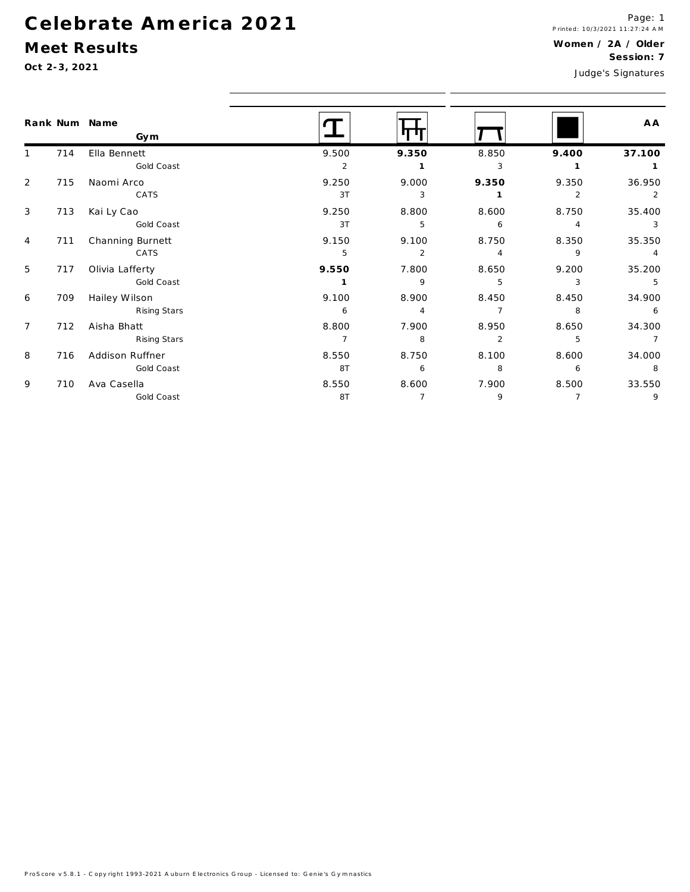# Celebrate America 2021

Gold Coast

#### Meet Results

 $\overline{9}$ 

| Oct 2-3, 2021  |     |                               | JESSIUII. /<br>Judge's Signatures |                         |                         |                         |                          |
|----------------|-----|-------------------------------|-----------------------------------|-------------------------|-------------------------|-------------------------|--------------------------|
|                |     | Rank Num Name<br>Gym          |                                   | ரா                      |                         |                         | A A                      |
|                | 714 | Ella Bennett<br>Gold Coast    | 9.500<br>2                        | 9.350<br>$\mathbf{1}$   | 8.850<br>3              | 9.400<br>$\mathbf{1}$   | 37.100<br>$\overline{1}$ |
| 2              | 715 | Naomi Arco<br>CATS            | 9.250<br>3T                       | 9.000<br>3              | 9.350                   | 9.350<br>$\overline{2}$ | 36.950<br>2              |
| 3              | 713 | Kai Ly Cao<br>Gold Coast      | 9.250<br>3T                       | 8.800<br>5              | 8.600<br>6              | 8.750<br>4              | 35.400<br>3              |
| 4              | 711 | Channing Burnett<br>CATS      | 9.150<br>5                        | 9.100<br>2              | 8.750<br>$\overline{4}$ | 8.350<br>9              | 35.350<br>$\overline{4}$ |
| 5              | 717 | Olivia Lafferty<br>Gold Coast | 9.550<br>1                        | 7.800<br>9              | 8.650<br>5              | 9.200<br>3              | 35.200<br>5              |
| 6              | 709 | Hailey Wilson<br>Rising Stars | 9.100<br>6                        | 8.900<br>$\overline{4}$ | 8.450<br>$\overline{7}$ | 8.450<br>8              | 34.900<br>6              |
| $\overline{7}$ | 712 | Aisha Bhatt<br>Rising Stars   | 8.800<br>$\overline{7}$           | 7.900<br>8              | 8.950<br>2              | 8.650<br>5              | 34.300<br>$\overline{7}$ |
| 8              | 716 | Addison Ruffner<br>Gold Coast | 8.550<br>8T                       | 8.750<br>6              | 8.100<br>8              | 8.600<br>6              | 34.000<br>8              |
| 9              | 710 | Ava Casella                   | 8.550                             | 8.600                   | 7.900                   | 8.500                   | 33.550                   |

8T

 $\overline{7}$ 

 $\overline{9}$ 

 $\overline{7}$